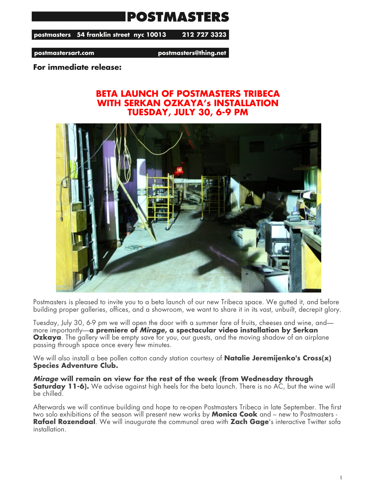## **POSTMASTERS**

postmasters 54 franklin street nyc 10013 212 727 3323

postmastersart.com

postmasters@thing.net

**For immediate release:**

## **BETA LAUNCH OF POSTMASTERS TRIBECA WITH SERKAN OZKAYA's INSTALLATION TUESDAY, JULY 30, 6-9 PM**



Postmasters is pleased to invite you to a beta launch of our new Tribeca space. We gutted it, and before building proper galleries, offices, and a showroom, we want to share it in its vast, unbuilt, decrepit glory.

Tuesday, July 30, 6-9 pm we will open the door with a summer fare of fruits, cheeses and wine, and more importantly—**a premiere of** *Mirage***, a spectacular video installation by Serkan Ozkaya**. The gallery will be empty save for you, our guests, and the moving shadow of an airplane passing through space once every few minutes.

We will also install a bee pollen cotton candy station courtesy of **Natalie Jeremijenko's Cross(x) Species Adventure Club.**

*Mirage* **will remain on view for the rest of the week (from Wednesday through Saturday 11-6).** We advise against high heels for the beta launch. There is no AC, but the wine will be chilled.

Afterwards we will continue building and hope to re-open Postmasters Tribeca in late September. The first two solo exhibitions of the season will present new works by **Monica Cook** and – new to Postmasters - **Rafael Rozendaal**. We will inaugurate the communal area with **Zach Gage**'s interactive Twitter sofa installation.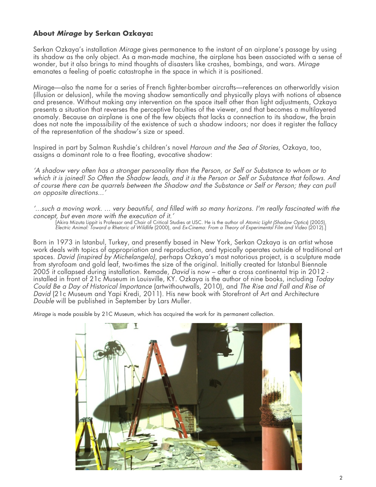## **About** *Mirage* **by Serkan Ozkaya:**

Serkan Ozkaya's installation *Mirage* gives permanence to the instant of an airplane's passage by using its shadow as the only object. As a man-made machine, the airplane has been associated with a sense of wonder, but it also brings to mind thoughts of disasters like crashes, bombings, and wars. *Mirage* emanates a feeling of poetic catastrophe in the space in which it is positioned.

Mirage—also the name for a series of French fighter-bomber aircrafts—references an otherworldly vision (illusion or delusion), while the moving shadow semantically and physically plays with notions of absence and presence. Without making any intervention on the space itself other than light adjustments, Ozkaya presents a situation that reverses the perceptive faculties of the viewer, and that becomes a multilayered anomaly. Because an airplane is one of the few objects that lacks a connection to its shadow, the brain does not note the impossibility of the existence of such a shadow indoors; nor does it register the fallacy of the representation of the shadow's size or speed.

Inspired in part by Salman Rushdie's children's novel *Haroun and the Sea of Stories*, Ozkaya, too, assigns a dominant role to a free floating, evocative shadow:

*'A shadow very often has a stronger personality than the Person, or Self or Substance to whom or to which it is joined! So Often the Shadow leads, and it is the Person or Self or Substance that follows. And of course there can be quarrels between the Shadow and the Substance or Self or Person; they can pull on opposite directions...'*

*'...such a moving work. ... very beautiful, and filled with so many horizons. I'm really fascinated with the concept, but even more with the execution of it.'*

[Akira Mizuta Lippit is Professor and Chair of Critical Studies at USC. He is the author of *Atomic Light (Shadow Optics*) (2005), *Electric Animal: Toward a Rhetoric of Wildlife* (2000), and *Ex-Cinema: From a Theory of Experimental Film and Video* (2012).]

Born in 1973 in Istanbul, Turkey, and presently based in New York, Serkan Ozkaya is an artist whose work deals with topics of appropriation and reproduction, and typically operates outside of traditional art spaces. *David (inspired by Michelangelo)*, perhaps Ozkaya's most notorious project, is a sculpture made from styrofoam and gold leaf, two-times the size of the original. Initially created for Istanbul Biennale 2005 it collapsed during installation. Remade, *David* is now – after a cross continental trip in 2012 installed in front of 21c Museum in Louisville, KY. Ozkaya is the author of nine books, including *Today Could Be a Day of Historical Importance* (artwithoutwalls, 2010), and *The Rise and Fall and Rise of David* (21c Museum and Yapi Kredi, 2011). His new book with Storefront of Art and Architecture *Double* will be published in September by Lars Muller.

*Mirage* is made possible by 21C Museum, which has acquired the work for its permanent collection.